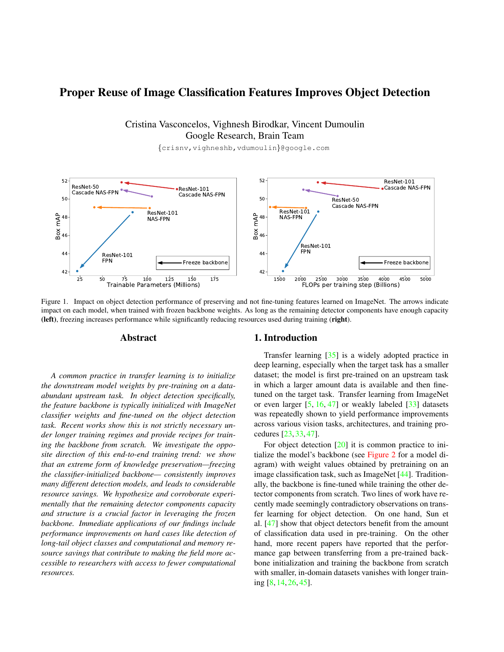# <span id="page-0-1"></span>Proper Reuse of Image Classification Features Improves Object Detection

# Cristina Vasconcelos, Vighnesh Birodkar, Vincent Dumoulin Google Research, Brain Team

{crisnv,vighneshb,vdumoulin}@google.com

<span id="page-0-0"></span>

Figure 1. Impact on object detection performance of preserving and not fine-tuning features learned on ImageNet. The arrows indicate impact on each model, when trained with frozen backbone weights. As long as the remaining detector components have enough capacity (left), freezing increases performance while significantly reducing resources used during training (right).

### Abstract

*A common practice in transfer learning is to initialize the downstream model weights by pre-training on a dataabundant upstream task. In object detection specifically, the feature backbone is typically initialized with ImageNet classifier weights and fine-tuned on the object detection task. Recent works show this is not strictly necessary under longer training regimes and provide recipes for training the backbone from scratch. We investigate the opposite direction of this end-to-end training trend: we show that an extreme form of knowledge preservation—freezing the classifier-initialized backbone— consistently improves many different detection models, and leads to considerable resource savings. We hypothesize and corroborate experimentally that the remaining detector components capacity and structure is a crucial factor in leveraging the frozen backbone. Immediate applications of our findings include performance improvements on hard cases like detection of long-tail object classes and computational and memory resource savings that contribute to making the field more accessible to researchers with access to fewer computational resources.*

#### 1. Introduction

Transfer learning [\[35\]](#page-9-0) is a widely adopted practice in deep learning, especially when the target task has a smaller dataset; the model is first pre-trained on an upstream task in which a larger amount data is available and then finetuned on the target task. Transfer learning from ImageNet or even larger  $[5, 16, 47]$  $[5, 16, 47]$  $[5, 16, 47]$  $[5, 16, 47]$  $[5, 16, 47]$  or weakly labeled  $[33]$  datasets was repeatedly shown to yield performance improvements across various vision tasks, architectures, and training procedures [\[23,](#page-8-2) [33,](#page-9-2) [47\]](#page-9-1).

For object detection [\[20\]](#page-8-3) it is common practice to initialize the model's backbone (see [Figure 2](#page-1-0) for a model diagram) with weight values obtained by pretraining on an image classification task, such as ImageNet [\[44\]](#page-9-3). Traditionally, the backbone is fine-tuned while training the other detector components from scratch. Two lines of work have recently made seemingly contradictory observations on transfer learning for object detection. On one hand, Sun et al. [\[47\]](#page-9-1) show that object detectors benefit from the amount of classification data used in pre-training. On the other hand, more recent papers have reported that the performance gap between transferring from a pre-trained backbone initialization and training the backbone from scratch with smaller, in-domain datasets vanishes with longer training [\[8,](#page-8-4) [14,](#page-8-5) [26,](#page-8-6) [45\]](#page-9-4).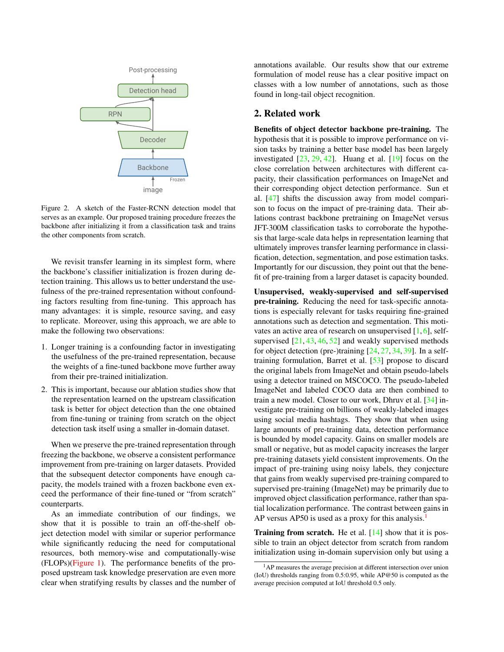<span id="page-1-2"></span><span id="page-1-0"></span>

Figure 2. A sketch of the Faster-RCNN detection model that serves as an example. Our proposed training procedure freezes the backbone after initializing it from a classification task and trains the other components from scratch.

We revisit transfer learning in its simplest form, where the backbone's classifier initialization is frozen during detection training. This allows us to better understand the usefulness of the pre-trained representation without confounding factors resulting from fine-tuning. This approach has many advantages: it is simple, resource saving, and easy to replicate. Moreover, using this approach, we are able to make the following two observations:

- 1. Longer training is a confounding factor in investigating the usefulness of the pre-trained representation, because the weights of a fine-tuned backbone move further away from their pre-trained initialization.
- 2. This is important, because our ablation studies show that the representation learned on the upstream classification task is better for object detection than the one obtained from fine-tuning or training from scratch on the object detection task itself using a smaller in-domain dataset.

When we preserve the pre-trained representation through freezing the backbone, we observe a consistent performance improvement from pre-training on larger datasets. Provided that the subsequent detector components have enough capacity, the models trained with a frozen backbone even exceed the performance of their fine-tuned or "from scratch" counterparts.

As an immediate contribution of our findings, we show that it is possible to train an off-the-shelf object detection model with similar or superior performance while significantly reducing the need for computational resources, both memory-wise and computationally-wise (FLOPs)[\(Figure 1\)](#page-0-0). The performance benefits of the proposed upstream task knowledge preservation are even more clear when stratifying results by classes and the number of annotations available. Our results show that our extreme formulation of model reuse has a clear positive impact on classes with a low number of annotations, such as those found in long-tail object recognition.

# 2. Related work

Benefits of object detector backbone pre-training. The hypothesis that it is possible to improve performance on vision tasks by training a better base model has been largely investigated  $[23, 29, 42]$  $[23, 29, 42]$  $[23, 29, 42]$  $[23, 29, 42]$  $[23, 29, 42]$ . Huang et al.  $[19]$  focus on the close correlation between architectures with different capacity, their classification performances on ImageNet and their corresponding object detection performance. Sun et al. [\[47\]](#page-9-1) shifts the discussion away from model comparison to focus on the impact of pre-training data. Their ablations contrast backbone pretraining on ImageNet versus JFT-300M classification tasks to corroborate the hypothesis that large-scale data helps in representation learning that ultimately improves transfer learning performance in classification, detection, segmentation, and pose estimation tasks. Importantly for our discussion, they point out that the benefit of pre-training from a larger dataset is capacity bounded.

Unsupervised, weakly-supervised and self-supervised pre-training. Reducing the need for task-specific annotations is especially relevant for tasks requiring fine-grained annotations such as detection and segmentation. This motivates an active area of research on unsupervised  $[1, 6]$  $[1, 6]$  $[1, 6]$ , selfsupervised  $[21, 43, 46, 52]$  $[21, 43, 46, 52]$  $[21, 43, 46, 52]$  $[21, 43, 46, 52]$  $[21, 43, 46, 52]$  $[21, 43, 46, 52]$  $[21, 43, 46, 52]$  and weakly supervised methods for object detection (pre-)training  $[24, 27, 34, 39]$  $[24, 27, 34, 39]$  $[24, 27, 34, 39]$  $[24, 27, 34, 39]$  $[24, 27, 34, 39]$  $[24, 27, 34, 39]$  $[24, 27, 34, 39]$ . In a selftraining formulation, Barret et al. [\[53\]](#page-9-12) propose to discard the original labels from ImageNet and obtain pseudo-labels using a detector trained on MSCOCO. The pseudo-labeled ImageNet and labeled COCO data are then combined to train a new model. Closer to our work, Dhruv et al. [\[34\]](#page-9-10) investigate pre-training on billions of weakly-labeled images using social media hashtags. They show that when using large amounts of pre-training data, detection performance is bounded by model capacity. Gains on smaller models are small or negative, but as model capacity increases the larger pre-training datasets yield consistent improvements. On the impact of pre-training using noisy labels, they conjecture that gains from weakly supervised pre-training compared to supervised pre-training (ImageNet) may be primarily due to improved object classification performance, rather than spatial localization performance. The contrast between gains in AP versus AP50 is used as a proxy for this analysis.<sup>[1](#page-1-1)</sup>

**Training from scratch.** He et al.  $[14]$  show that it is possible to train an object detector from scratch from random initialization using in-domain supervision only but using a

<span id="page-1-1"></span><sup>1</sup>AP measures the average precision at different intersection over union (IoU) thresholds ranging from 0.5:0.95, while AP@50 is computed as the average precision computed at IoU threshold 0.5 only.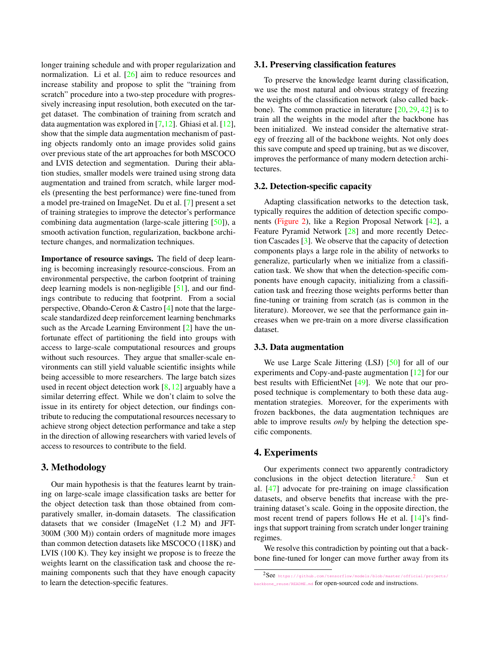<span id="page-2-1"></span>longer training schedule and with proper regularization and normalization. Li et al. [\[26\]](#page-8-6) aim to reduce resources and increase stability and propose to split the "training from scratch" procedure into a two-step procedure with progressively increasing input resolution, both executed on the target dataset. The combination of training from scratch and data augmentation was explored in  $[7,12]$  $[7,12]$ . Ghiasi et al.  $[12]$ , show that the simple data augmentation mechanism of pasting objects randomly onto an image provides solid gains over previous state of the art approaches for both MSCOCO and LVIS detection and segmentation. During their ablation studies, smaller models were trained using strong data augmentation and trained from scratch, while larger models (presenting the best performance) were fine-tuned from a model pre-trained on ImageNet. Du et al. [\[7\]](#page-8-13) present a set of training strategies to improve the detector's performance combining data augmentation (large-scale jittering [\[50\]](#page-9-13)), a smooth activation function, regularization, backbone architecture changes, and normalization techniques.

Importance of resource savings. The field of deep learning is becoming increasingly resource-conscious. From an environmental perspective, the carbon footprint of training deep learning models is non-negligible [\[51\]](#page-9-14), and our findings contribute to reducing that footprint. From a social perspective, Obando-Ceron & Castro [\[4\]](#page-8-15) note that the largescale standardized deep reinforcement learning benchmarks such as the Arcade Learning Environment [\[2\]](#page-8-16) have the unfortunate effect of partitioning the field into groups with access to large-scale computational resources and groups without such resources. They argue that smaller-scale environments can still yield valuable scientific insights while being accessible to more researchers. The large batch sizes used in recent object detection work  $[8,12]$  $[8,12]$  arguably have a similar deterring effect. While we don't claim to solve the issue in its entirety for object detection, our findings contribute to reducing the computational resources necessary to achieve strong object detection performance and take a step in the direction of allowing researchers with varied levels of access to resources to contribute to the field.

# 3. Methodology

Our main hypothesis is that the features learnt by training on large-scale image classification tasks are better for the object detection task than those obtained from comparatively smaller, in-domain datasets. The classification datasets that we consider (ImageNet (1.2 M) and JFT-300M (300 M)) contain orders of magnitude more images than common detection datasets like MSCOCO (118K) and LVIS (100 K). They key insight we propose is to freeze the weights learnt on the classification task and choose the remaining components such that they have enough capacity to learn the detection-specific features.

#### 3.1. Preserving classification features

To preserve the knowledge learnt during classification, we use the most natural and obvious strategy of freezing the weights of the classification network (also called backbone). The common practice in literature  $[20, 29, 42]$  $[20, 29, 42]$  $[20, 29, 42]$  $[20, 29, 42]$  $[20, 29, 42]$  is to train all the weights in the model after the backbone has been initialized. We instead consider the alternative strategy of freezing all of the backbone weights. Not only does this save compute and speed up training, but as we discover, improves the performance of many modern detection architectures.

#### 3.2. Detection-specific capacity

Adapting classification networks to the detection task, typically requires the addition of detection specific components [\(Figure 2\)](#page-1-0), like a Region Proposal Network [\[42\]](#page-9-6), a Feature Pyramid Network [\[28\]](#page-9-15) and more recently Detection Cascades [\[3\]](#page-8-17). We observe that the capacity of detection components plays a large role in the ability of networks to generalize, particularly when we initialize from a classification task. We show that when the detection-specific components have enough capacity, initializing from a classification task and freezing those weights performs better than fine-tuning or training from scratch (as is common in the literature). Moreover, we see that the performance gain increases when we pre-train on a more diverse classification dataset.

#### 3.3. Data augmentation

We use Large Scale Jittering (LSJ) [\[50\]](#page-9-13) for all of our experiments and Copy-and-paste augmentation [\[12\]](#page-8-14) for our best results with EfficientNet [\[49\]](#page-9-16). We note that our proposed technique is complementary to both these data augmentation strategies. Moreover, for the experiments with frozen backbones, the data augmentation techniques are able to improve results *only* by helping the detection specific components.

# 4. Experiments

Our experiments connect two apparently contradictory conclusions in the object detection literature.<sup>[2](#page-2-0)</sup> Sun et al. [\[47\]](#page-9-1) advocate for pre-training on image classification datasets, and observe benefits that increase with the pretraining dataset's scale. Going in the opposite direction, the most recent trend of papers follows He et al. [\[14\]](#page-8-5)'s findings that support training from scratch under longer training regimes.

We resolve this contradiction by pointing out that a backbone fine-tuned for longer can move further away from its

<span id="page-2-0"></span> $2$ See [https://github.com/tensorflow/models/blob/master/official/projects/](https://github.com/tensorflow/models/blob/master/official/projects/backbone_reuse/README.md) [backbone\\_reuse/README.md](https://github.com/tensorflow/models/blob/master/official/projects/backbone_reuse/README.md) for open-sourced code and instructions.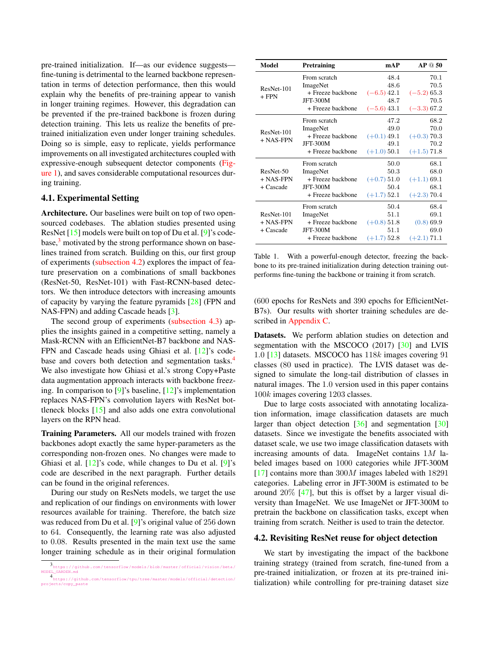<span id="page-3-4"></span>pre-trained initialization. If—as our evidence suggests fine-tuning is detrimental to the learned backbone representation in terms of detection performance, then this would explain why the benefits of pre-training appear to vanish in longer training regimes. However, this degradation can be prevented if the pre-trained backbone is frozen during detection training. This lets us realize the benefits of pretrained initialization even under longer training schedules. Doing so is simple, easy to replicate, yields performance improvements on all investigated architectures coupled with expressive-enough subsequent detector components [\(Fig](#page-0-0)[ure 1\)](#page-0-0), and saves considerable computational resources during training.

# 4.1. Experimental Setting

Architecture. Our baselines were built on top of two opensourced codebases. The ablation studies presented using ResNet [\[15\]](#page-8-18) models were built on top of Du et al. [\[9\]](#page-8-19)'s code- $base<sup>3</sup>$  $base<sup>3</sup>$  $base<sup>3</sup>$  motivated by the strong performance shown on baselines trained from scratch. Building on this, our first group of experiments [\(subsection 4.2\)](#page-3-1) explores the impact of feature preservation on a combinations of small backbones (ResNet-50, ResNet-101) with Fast-RCNN-based detectors. We then introduce detectors with increasing amounts of capacity by varying the feature pyramids [\[28\]](#page-9-15) (FPN and NAS-FPN) and adding Cascade heads [\[3\]](#page-8-17).

The second group of experiments [\(subsection 4.3\)](#page-5-0) applies the insights gained in a competitive setting, namely a Mask-RCNN with an EfficientNet-B7 backbone and NAS-FPN and Cascade heads using Ghiasi et al. [\[12\]](#page-8-14)'s code-base and covers both detection and segmentation tasks.<sup>[4](#page-3-2)</sup> We also investigate how Ghiasi et al.'s strong Copy+Paste data augmentation approach interacts with backbone freezing. In comparison to  $[9]$ 's baseline,  $[12]$ 's implementation replaces NAS-FPN's convolution layers with ResNet bottleneck blocks [\[15\]](#page-8-18) and also adds one extra convolutional layers on the RPN head.

Training Parameters. All our models trained with frozen backbones adopt exactly the same hyper-parameters as the corresponding non-frozen ones. No changes were made to Ghiasi et al.  $[12]'s$  $[12]'s$  code, while changes to Du et al.  $[9]'s$  $[9]'s$ code are described in the next paragraph. Further details can be found in the original references.

During our study on ResNets models, we target the use and replication of our findings on environments with lower resources available for training. Therefore, the batch size was reduced from Du et al. [\[9\]](#page-8-19)'s original value of 256 down to 64. Consequently, the learning rate was also adjusted to 0.08. Results presented in the main text use the same longer training schedule as in their original formulation

<span id="page-3-3"></span>

| Model      | Pretraining       | mAP           | AP@50         |
|------------|-------------------|---------------|---------------|
|            | From scratch      | 48.4          | 70.1          |
| ResNet-101 | ImageNet          | 48.6          | 70.5          |
| $+$ FPN    | + Freeze backbone | $(-6.5)$ 42.1 | $(-5.2)$ 65.3 |
|            | <b>JFT-300M</b>   | 48.7          | 70.5          |
|            | + Freeze backbone | $(-5.6)$ 43.1 | $(-3.3)$ 67.2 |
|            | From scratch      | 47.2          | 68.2          |
| ResNet-101 | ImageNet          | 49.0          | 70.0          |
| + NAS-FPN  | + Freeze backbone | $(+0.1)$ 49.1 | $(+0.3)$ 70.3 |
|            | <b>JFT-300M</b>   | 49.1          | 70.2          |
|            | + Freeze backbone | $(+1.0)$ 50.1 | $(+1.5)$ 71.8 |
|            | From scratch      | 50.0          | 68.1          |
| ResNet-50  | ImageNet          | 50.3          | 68.0          |
| + NAS-FPN  | + Freeze backbone | $(+0.7)$ 51.0 | $(+1.1)$ 69.1 |
| + Cascade  | <b>JFT-300M</b>   | 50.4          | 68.1          |
|            | + Freeze backbone | $(+1.7)$ 52.1 | $(+2.3)$ 70.4 |
|            | From scratch      | 50.4          | 68.4          |
| ResNet-101 | ImageNet          | 51.1          | 69.1          |
| + NAS-FPN  | + Freeze backbone | $(+0.8)$ 51.8 | $(0.8)$ 69.9  |
| + Cascade  | <b>JFT-300M</b>   | 51.1          | 69.0          |
|            | + Freeze backbone | $(+1.7)$ 52.8 | $(+2.1)$ 71.1 |

Table 1. With a powerful-enough detector, freezing the backbone to its pre-trained initialization during detection training outperforms fine-tuning the backbone or training it from scratch.

(600 epochs for ResNets and 390 epochs for EfficientNet-B7s). Our results with shorter training schedules are described in [Appendix C.](#page-12-0)

Datasets. We perform ablation studies on detection and segmentation with the MSCOCO (2017) [\[30\]](#page-9-17) and LVIS 1.0 [\[13\]](#page-8-20) datasets. MSCOCO has 118k images covering 91 classes (80 used in practice). The LVIS dataset was designed to simulate the long-tail distribution of classes in natural images. The 1.0 version used in this paper contains 100k images covering 1203 classes.

Due to large costs associated with annotating localization information, image classification datasets are much larger than object detection [\[36\]](#page-9-18) and segmentation [\[30\]](#page-9-17) datasets. Since we investigate the benefits associated with dataset scale, we use two image classification datasets with increasing amounts of data. ImageNet contains  $1M$  labeled images based on 1000 categories while JFT-300M  $[17]$  contains more than 300M images labeled with 18291 categories. Labeling error in JFT-300M is estimated to be around 20% [\[47\]](#page-9-1), but this is offset by a larger visual diversity than ImageNet. We use ImageNet or JFT-300M to pretrain the backbone on classification tasks, except when training from scratch. Neither is used to train the detector.

#### <span id="page-3-1"></span>4.2. Revisiting ResNet reuse for object detection

We start by investigating the impact of the backbone training strategy (trained from scratch, fine-tuned from a pre-trained initialization, or frozen at its pre-trained initialization) while controlling for pre-training dataset size

<span id="page-3-0"></span><sup>3</sup> [https : / / github . com / tensorflow / models / blob / master / official / vision / beta /](https://github.com/tensorflow/models/blob/master/official/vision/beta/MODEL_GARDEN.md) [MODEL\\_GARDEN.md](https://github.com/tensorflow/models/blob/master/official/vision/beta/MODEL_GARDEN.md)

<span id="page-3-2"></span><sup>4</sup> [https://github.com/tensorflow/tpu/tree/master/models/official/detection/](https://github.com/tensorflow/tpu/tree/master/models/official/detection/projects/copy_paste) [projects/copy\\_paste](https://github.com/tensorflow/tpu/tree/master/models/official/detection/projects/copy_paste)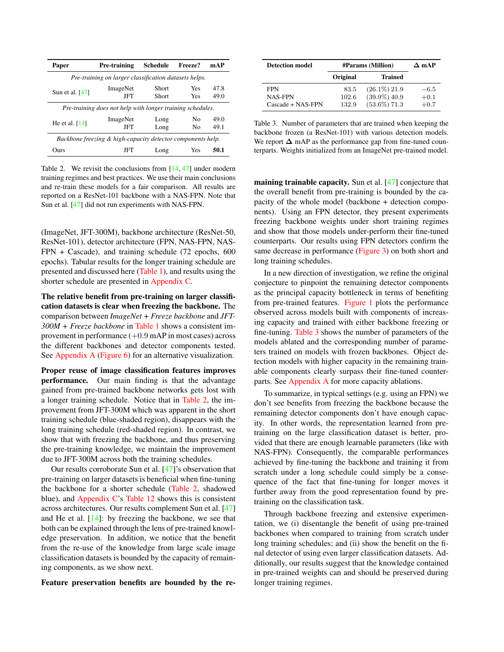<span id="page-4-2"></span><span id="page-4-0"></span>

| Paper                                                       | Pre-training                                               | <b>Schedule</b>       | Freeze?    | mAP          |  |  |
|-------------------------------------------------------------|------------------------------------------------------------|-----------------------|------------|--------------|--|--|
|                                                             | Pre-training on larger classification datasets helps.      |                       |            |              |  |  |
| Sun et al. $[47]$                                           | ImageNet<br>JFT                                            | <b>Short</b><br>Short | Yes<br>Yes | 47.8<br>49.0 |  |  |
|                                                             | Pre-training does not help with longer training schedules. |                       |            |              |  |  |
| He et al. $[14]$                                            | ImageNet<br>JFT                                            | Long<br>Long          | Nο<br>No   | 49.0<br>49.1 |  |  |
| Backbone freezing & high-capacity detector components help. |                                                            |                       |            |              |  |  |
| Ours                                                        | JFT                                                        | Long                  | Yes        | 50.1         |  |  |

Table 2. We revisit the conclusions from  $[14, 47]$  $[14, 47]$  $[14, 47]$  under modern training regimes and best practices. We use their main conclusions and re-train these models for a fair comparison. All results are reported on a ResNet-101 backbone with a NAS-FPN. Note that Sun et al. [\[47\]](#page-9-1) did not run experiments with NAS-FPN.

(ImageNet, JFT-300M), backbone architecture (ResNet-50, ResNet-101), detector architecture (FPN, NAS-FPN, NAS-FPN + Cascade), and training schedule (72 epochs, 600 epochs). Tabular results for the longer training schedule are presented and discussed here [\(Table 1\)](#page-3-3), and results using the shorter schedule are presented in [Appendix C.](#page-12-0)

The relative benefit from pre-training on larger classification datasets is clear when freezing the backbone. The comparison between *ImageNet + Freeze backbone* and *JFT-300M + Freeze backbone* in [Table 1](#page-3-3) shows a consistent improvement in performance  $(+0.9 \text{ mA}P \text{ in most cases})$  across the different backbones and detector components tested. See [Appendix A](#page-10-0) [\(Figure 6\)](#page-10-1) for an alternative visualization.

Proper reuse of image classification features improves performance. Our main finding is that the advantage gained from pre-trained backbone networks gets lost with a longer training schedule. Notice that in [Table 2,](#page-4-0) the improvement from JFT-300M which was apparent in the short training schedule (blue-shaded region), disappears with the long training schedule (red-shaded region). In contrast, we show that with freezing the backbone, and thus preserving the pre-training knowledge, we maintain the improvement due to JFT-300M across both the training schedules.

Our results corroborate Sun et al. [\[47\]](#page-9-1)'s observation that pre-training on larger datasets is beneficial when fine-tuning the backbone for a shorter schedule [\(Table 2,](#page-4-0) shadowed blue), and [Appendix C'](#page-12-0)s [Table 12](#page-11-0) shows this is consistent across architectures. Our results complement Sun et al. [\[47\]](#page-9-1) and He et al. [\[14\]](#page-8-5): by freezing the backbone, we see that both can be explained through the lens of pre-trained knowledge preservation. In addition, we notice that the benefit from the re-use of the knowledge from large scale image classification datasets is bounded by the capacity of remaining components, as we show next.

Feature preservation benefits are bounded by the re-

<span id="page-4-1"></span>

| <b>Detection model</b>            | <b>#Params</b> (Million) |                 | $\Delta$ mAP |
|-----------------------------------|--------------------------|-----------------|--------------|
|                                   | Original                 | <b>Trained</b>  |              |
| <b>FPN</b>                        | 83.5                     | $(26.1\%)$ 21.9 | $-6.5$       |
| <b>NAS-FPN</b>                    | 102.6                    | $(39.9\%) 40.9$ | $+0.1$       |
| $\text{Cascade} + \text{NAS-FPN}$ | 132.9                    | $(53.6\%)$ 71.3 | $+0.7$       |

Table 3. Number of parameters that are trained when keeping the backbone frozen (a ResNet-101) with various detection models. We report  $\Delta$  mAP as the performance gap from fine-tuned counterparts. Weights initialized from an ImageNet pre-trained model.

maining trainable capacity. Sun et al. [\[47\]](#page-9-1) conjecture that the overall benefit from pre-training is bounded by the capacity of the whole model (backbone + detection components). Using an FPN detector, they present experiments freezing backbone weights under short training regimes and show that those models under-perform their fine-tuned counterparts. Our results using FPN detectors confirm the same decrease in performance [\(Figure 3\)](#page-5-1) on both short and long training schedules.

In a new direction of investigation, we refine the original conjecture to pinpoint the remaining detector components as the principal capacity bottleneck in terms of benefiting from pre-trained features. [Figure 1](#page-0-0) plots the performance observed across models built with components of increasing capacity and trained with either backbone freezing or fine-tuning. [Table 3](#page-4-1) shows the number of parameters of the models ablated and the corresponding number of parameters trained on models with frozen backbones. Object detection models with higher capacity in the remaining trainable components clearly surpass their fine-tuned counterparts. See [Appendix A](#page-10-0) for more capacity ablations.

To summarize, in typical settings (e.g. using an FPN) we don't see benefits from freezing the backbone because the remaining detector components don't have enough capacity. In other words, the representation learned from pretraining on the large classification dataset is better, provided that there are enough learnable parameters (like with NAS-FPN). Consequently, the comparable performances achieved by fine-tuning the backbone and training it from scratch under a long schedule could simply be a consequence of the fact that fine-tuning for longer moves it further away from the good representation found by pretraining on the classification task.

Through backbone freezing and extensive experimentation, we (i) disentangle the benefit of using pre-trained backbones when compared to training from scratch under long training schedules; and (ii) show the benefit on the final detector of using even larger classification datasets. Additionally, our results suggest that the knowledge contained in pre-trained weights can and should be preserved during longer training regimes.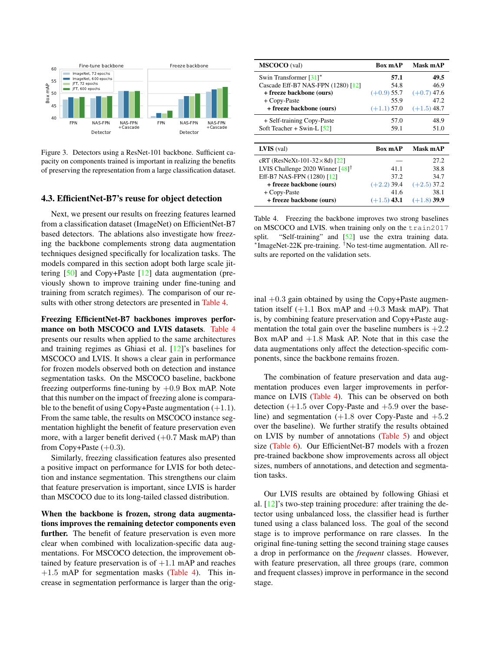<span id="page-5-3"></span><span id="page-5-1"></span>

Figure 3. Detectors using a ResNet-101 backbone. Sufficient capacity on components trained is important in realizing the benefits of preserving the representation from a large classification dataset.

#### <span id="page-5-0"></span>4.3. EfficientNet-B7's reuse for object detection

Next, we present our results on freezing features learned from a classification dataset (ImageNet) on EfficientNet-B7 based detectors. The ablations also investigate how freezing the backbone complements strong data augmentation techniques designed specifically for localization tasks. The models compared in this section adopt both large scale jittering [\[50\]](#page-9-13) and Copy+Paste [\[12\]](#page-8-14) data augmentation (previously shown to improve training under fine-tuning and training from scratch regimes). The comparison of our results with other strong detectors are presented in [Table 4.](#page-5-2)

Freezing EfficientNet-B7 backbones improves performance on both MSCOCO and LVIS datasets. [Table 4](#page-5-2) presents our results when applied to the same architectures and training regimes as Ghiasi et al. [\[12\]](#page-8-14)'s baselines for MSCOCO and LVIS. It shows a clear gain in performance for frozen models observed both on detection and instance segmentation tasks. On the MSCOCO baseline, backbone freezing outperforms fine-tuning by  $+0.9$  Box mAP. Note that this number on the impact of freezing alone is comparable to the benefit of using Copy+Paste augmentation  $(+1.1)$ . From the same table, the results on MSCOCO instance segmentation highlight the benefit of feature preservation even more, with a larger benefit derived  $(+0.7$  Mask mAP) than from Copy+Paste  $(+0.3)$ .

Similarly, freezing classification features also presented a positive impact on performance for LVIS for both detection and instance segmentation. This strengthens our claim that feature preservation is important, since LVIS is harder than MSCOCO due to its long-tailed classed distribution.

When the backbone is frozen, strong data augmentations improves the remaining detector components even further. The benefit of feature preservation is even more clear when combined with localization-specific data augmentations. For MSCOCO detection, the improvement obtained by feature preservation is of  $+1.1$  mAP and reaches  $+1.5$  mAP for segmentation masks [\(Table 4\)](#page-5-2). This increase in segmentation performance is larger than the orig-

<span id="page-5-2"></span>

| <b>MSCOCO</b> (val)                          | <b>Box mAP</b> | Mask mAP      |
|----------------------------------------------|----------------|---------------|
| Swin Transformer [31]*                       | 57.1           | 49.5          |
| Cascade Eff-B7 NAS-FPN (1280) [12]           | 54.8           | 46.9          |
| + freeze backbone (ours)                     | $(+0.9)$ 55.7  | $(+0.7)$ 47.6 |
| + Copy-Paste                                 | 55.9           | 47.2          |
| + freeze backbone (ours)                     | $(+1.1)$ 57.0  | $(+1.5)$ 48.7 |
| + Self-training Copy-Paste                   | 57.0           | 48.9          |
| Soft Teacher + Swin-L $[52]$                 | 59.1           | 51.0          |
|                                              |                |               |
| $LVIS$ (val)                                 | <b>Box mAP</b> | Mask mAP      |
| cRT (ResNeXt-101-32 $\times$ 8d) [22]        |                | 27.2          |
| LVIS Challenge 2020 Winner [48] <sup>†</sup> | 41.1           | 38.8          |
| Eff-B7 NAS-FPN (1280) [12]                   | 37.2           | 34.7          |
| + freeze backbone (ours)                     | $(+2.2)$ 39.4  | $(+2.5)$ 37.2 |
| + Copy-Paste                                 | 41.6           | 38.1          |
| + freeze backbone (ours)                     | $(+1.5)$ 43.1  | $(+1.8)$ 39.9 |

Table 4. Freezing the backbone improves two strong baselines on MSCOCO and LVIS. when training only on the train2017 split. "Self-training" and [\[52\]](#page-9-9) use the extra training data. ∗ ImageNet-22K pre-training. †No test-time augmentation. All results are reported on the validation sets.

inal  $+0.3$  gain obtained by using the Copy+Paste augmentation itself  $(+1.1$  Box mAP and  $+0.3$  Mask mAP). That is, by combining feature preservation and Copy+Paste augmentation the total gain over the baseline numbers is  $+2.2$ Box mAP and  $+1.8$  Mask AP. Note that in this case the data augmentations only affect the detection-specific components, since the backbone remains frozen.

The combination of feature preservation and data augmentation produces even larger improvements in perfor-mance on LVIS [\(Table 4\)](#page-5-2). This can be observed on both detection  $(+1.5$  over Copy-Paste and  $+5.9$  over the baseline) and segmentation  $(+1.8$  over Copy-Paste and  $+5.2$ over the baseline). We further stratify the results obtained on LVIS by number of annotations [\(Table 5\)](#page-6-0) and object size [\(Table 6\)](#page-6-1). Our EfficientNet-B7 models with a frozen pre-trained backbone show improvements across all object sizes, numbers of annotations, and detection and segmentation tasks.

Our LVIS results are obtained by following Ghiasi et al. [\[12\]](#page-8-14)'s two-step training procedure: after training the detector using unbalanced loss, the classifier head is further tuned using a class balanced loss. The goal of the second stage is to improve performance on rare classes. In the original fine-tuning setting the second training stage causes a drop in performance on the *frequent* classes. However, with feature preservation, all three groups (rare, common and frequent classes) improve in performance in the second stage.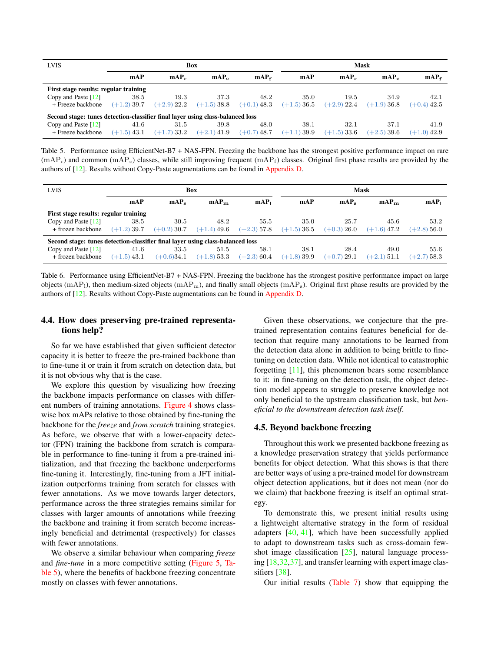<span id="page-6-2"></span><span id="page-6-0"></span>

| <b>LVIS</b>                                                                    | Box           |                  |                    | Mask                        |               |                  |                    |                  |
|--------------------------------------------------------------------------------|---------------|------------------|--------------------|-----------------------------|---------------|------------------|--------------------|------------------|
|                                                                                | mAP           | $\mathbf{mAP_r}$ | $\mathbf{mAP}_{c}$ | $\mathbf{mAP}_{\mathbf{f}}$ | mAP           | $\mathbf{mAP_r}$ | $\mathbf{mAP}_{c}$ | mAP <sub>f</sub> |
| First stage results: regular training                                          |               |                  |                    |                             |               |                  |                    |                  |
| Copy and Paste [12]                                                            | 38.5          | 19.3             | 37.3               | 48.2                        | 35.0          | 19.5             | 34.9               | 42.1             |
| + Freeze backbone                                                              | $(+1.2)39.7$  | $(+2.9)$ 22.2    | $(+1.5)38.8$       | $(+0.1)$ 48.3               | $(+1.5)36.5$  | $(+2.9)$ 22.4    | $(+1.9)36.8$       | $(+0.4)$ 42.5    |
| Second stage: tunes detection-classifier final layer using class-balanced loss |               |                  |                    |                             |               |                  |                    |                  |
| Copy and Paste $[12]$                                                          | 41.6          | 31.5             | 39.8               | 48.0                        | 38.1          | 32.1             | 37.1               | 41.9             |
| + Freeze backbone                                                              | $(+1.5)$ 43.1 | $(+1.7)$ 33.2    | $(+2.1)$ 41.9      | $(+0.7)$ 48.7               | $(+1.1)$ 39.9 | $(+1.5)33.6$     | $(+2.5)39.6$       | $(+1.0)$ 42.9    |

Table 5. Performance using EfficientNet-B7 + NAS-FPN. Freezing the backbone has the strongest positive performance impact on rare  $(mAP_r)$  and common  $(mAP_c)$  classes, while still improving frequent  $(mAP_f)$  classes. Original first phase results are provided by the authors of [\[12\]](#page-8-14). Results without Copy-Paste augmentations can be found in [Appendix D.](#page-12-1)

<span id="page-6-1"></span>

| <b>LVIS</b>                                                                    |               |               | <b>Box</b>       |                  |              |                  | Mask             |                  |
|--------------------------------------------------------------------------------|---------------|---------------|------------------|------------------|--------------|------------------|------------------|------------------|
|                                                                                | mAP           | $mAP_s$       | mAP <sub>m</sub> | mAP <sub>1</sub> | mAP          | mAP <sub>s</sub> | mAP <sub>m</sub> | mAP <sub>1</sub> |
| First stage results: regular training                                          |               |               |                  |                  |              |                  |                  |                  |
| Copy and Paste $[12]$                                                          | 38.5          | 30.5          | 48.2             | 55.5             | 35.0         | 25.7             | 45.6             | 53.2             |
| + frozen backbone                                                              | $(+1.2)$ 39.7 | $(+0.2)$ 30.7 | $(+1.4)$ 49.6    | $(+2.3)$ 57.8    | $(+1.5)36.5$ | $(+0.3)26.0$     | $(+1.6)$ 47.2    | $(+2.8)56.0$     |
| Second stage: tunes detection-classifier final layer using class-balanced loss |               |               |                  |                  |              |                  |                  |                  |
| Copy and Paste [12]                                                            | 41.6          | 33.5          | 51.5             | 58.1             | 38.1         | 28.4             | 49.0             | 55.6             |
| + frozen backbone                                                              | $(+1.5)$ 43.1 | $(+0.6)34.1$  | $(+1.8)$ 53.3    | $(+2.3)$ 60.4    | $(+1.8)39.9$ | $(+0.7)$ 29.1    | $(+2.1)$ 51.1    | $(+2.7)$ 58.3    |

Table 6. Performance using EfficientNet-B7 + NAS-FPN. Freezing the backbone has the strongest positive performance impact on large objects  $(mAP<sub>1</sub>)$ , then medium-sized objects  $(mAP<sub>m</sub>)$ , and finally small objects  $(mAP<sub>s</sub>)$ . Original first phase results are provided by the authors of [\[12\]](#page-8-14). Results without Copy-Paste augmentations can be found in [Appendix D.](#page-12-1)

### 4.4. How does preserving pre-trained representations help?

So far we have established that given sufficient detector capacity it is better to freeze the pre-trained backbone than to fine-tune it or train it from scratch on detection data, but it is not obvious why that is the case.

We explore this question by visualizing how freezing the backbone impacts performance on classes with different numbers of training annotations. [Figure 4](#page-7-0) shows classwise box mAPs relative to those obtained by fine-tuning the backbone for the *freeze* and *from scratch* training strategies. As before, we observe that with a lower-capacity detector (FPN) training the backbone from scratch is comparable in performance to fine-tuning it from a pre-trained initialization, and that freezing the backbone underperforms fine-tuning it. Interestingly, fine-tuning from a JFT initialization outperforms training from scratch for classes with fewer annotations. As we move towards larger detectors, performance across the three strategies remains similar for classes with larger amounts of annotations while freezing the backbone and training it from scratch become increasingly beneficial and detrimental (respectively) for classes with fewer annotations.

We observe a similar behaviour when comparing *freeze* and *fine-tune* in a more competitive setting [\(Figure 5,](#page-7-1) [Ta](#page-6-0)[ble 5\)](#page-6-0), where the benefits of backbone freezing concentrate mostly on classes with fewer annotations.

Given these observations, we conjecture that the pretrained representation contains features beneficial for detection that require many annotations to be learned from the detection data alone in addition to being brittle to finetuning on detection data. While not identical to catastrophic forgetting [\[11\]](#page-8-23), this phenomenon bears some resemblance to it: in fine-tuning on the detection task, the object detection model appears to struggle to preserve knowledge not only beneficial to the upstream classification task, but *beneficial to the downstream detection task itself*.

#### <span id="page-6-3"></span>4.5. Beyond backbone freezing

Throughout this work we presented backbone freezing as a knowledge preservation strategy that yields performance benefits for object detection. What this shows is that there are better ways of using a pre-trained model for downstream object detection applications, but it does not mean (nor do we claim) that backbone freezing is itself an optimal strategy.

To demonstrate this, we present initial results using a lightweight alternative strategy in the form of residual adapters [\[40,](#page-9-21) [41\]](#page-9-22), which have been successfully applied to adapt to downstream tasks such as cross-domain fewshot image classification [\[25\]](#page-8-24), natural language processing [\[18,](#page-8-25)[32,](#page-9-23)[37\]](#page-9-24), and transfer learning with expert image clas-sifiers [\[38\]](#page-9-25).

Our initial results [\(Table 7\)](#page-7-2) show that equipping the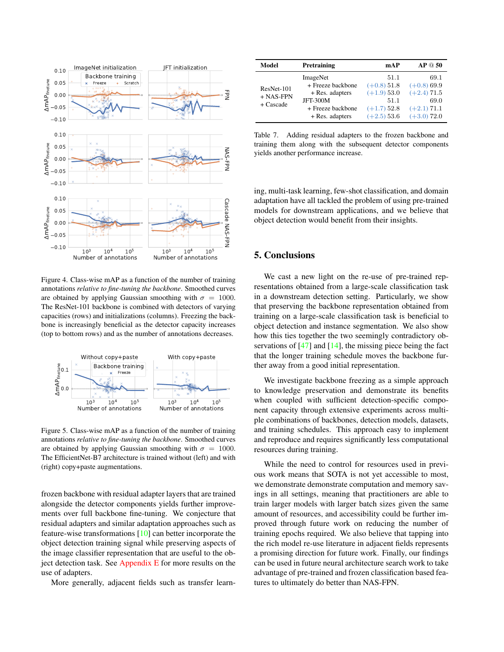<span id="page-7-3"></span><span id="page-7-0"></span>

Figure 4. Class-wise mAP as a function of the number of training annotations *relative to fine-tuning the backbone*. Smoothed curves are obtained by applying Gaussian smoothing with  $\sigma = 1000$ . The ResNet-101 backbone is combined with detectors of varying capacities (rows) and initializations (columns). Freezing the backbone is increasingly beneficial as the detector capacity increases (top to bottom rows) and as the number of annotations decreases.

<span id="page-7-1"></span>

Figure 5. Class-wise mAP as a function of the number of training annotations *relative to fine-tuning the backbone*. Smoothed curves are obtained by applying Gaussian smoothing with  $\sigma = 1000$ . The EfficientNet-B7 architecture is trained without (left) and with (right) copy+paste augmentations.

frozen backbone with residual adapter layers that are trained alongside the detector components yields further improvements over full backbone fine-tuning. We conjecture that residual adapters and similar adaptation approaches such as feature-wise transformations [\[10\]](#page-8-26) can better incorporate the object detection training signal while preserving aspects of the image classifier representation that are useful to the object detection task. See [Appendix E](#page-12-2) for more results on the use of adapters.

More generally, adjacent fields such as transfer learn-

<span id="page-7-2"></span>

| Model                                    | Pretraining                                                                                                 | mAP                                                                              | AP @ 50                                                                          |
|------------------------------------------|-------------------------------------------------------------------------------------------------------------|----------------------------------------------------------------------------------|----------------------------------------------------------------------------------|
| ResNet-101<br>$+$ NAS-FPN<br>$+$ Cascade | ImageNet<br>+ Freeze backbone<br>+ Res. adapters<br><b>JFT-300M</b><br>+ Freeze backbone<br>+ Res. adapters | 51.1<br>$(+0.8)$ 51.8<br>$(+1.9)$ 53.0<br>51.1<br>$(+1.7)$ 52.8<br>$(+2.5)$ 53.6 | 69.1<br>$(+0.8)$ 69.9<br>$(+2.4)$ 71.5<br>69.0<br>$(+2.1)$ 71.1<br>$(+3.0)$ 72.0 |

Table 7. Adding residual adapters to the frozen backbone and training them along with the subsequent detector components yields another performance increase.

ing, multi-task learning, few-shot classification, and domain adaptation have all tackled the problem of using pre-trained models for downstream applications, and we believe that object detection would benefit from their insights.

# 5. Conclusions

We cast a new light on the re-use of pre-trained representations obtained from a large-scale classification task in a downstream detection setting. Particularly, we show that preserving the backbone representation obtained from training on a large-scale classification task is beneficial to object detection and instance segmentation. We also show how this ties together the two seemingly contradictory observations of  $[47]$  and  $[14]$ , the missing piece being the fact that the longer training schedule moves the backbone further away from a good initial representation.

We investigate backbone freezing as a simple approach to knowledge preservation and demonstrate its benefits when coupled with sufficient detection-specific component capacity through extensive experiments across multiple combinations of backbones, detection models, datasets, and training schedules. This approach easy to implement and reproduce and requires significantly less computational resources during training.

While the need to control for resources used in previous work means that SOTA is not yet accessible to most, we demonstrate demonstrate computation and memory savings in all settings, meaning that practitioners are able to train larger models with larger batch sizes given the same amount of resources, and accessibility could be further improved through future work on reducing the number of training epochs required. We also believe that tapping into the rich model re-use literature in adjacent fields represents a promising direction for future work. Finally, our findings can be used in future neural architecture search work to take advantage of pre-trained and frozen classification based features to ultimately do better than NAS-FPN.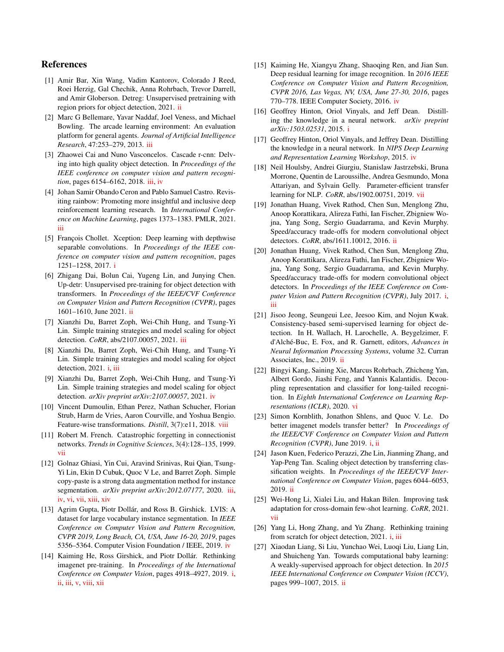# References

- <span id="page-8-8"></span>[1] Amir Bar, Xin Wang, Vadim Kantorov, Colorado J Reed, Roei Herzig, Gal Chechik, Anna Rohrbach, Trevor Darrell, and Amir Globerson. Detreg: Unsupervised pretraining with region priors for object detection, 2021. [ii](#page-1-2)
- <span id="page-8-16"></span>[2] Marc G Bellemare, Yavar Naddaf, Joel Veness, and Michael Bowling. The arcade learning environment: An evaluation platform for general agents. *Journal of Artificial Intelligence Research*, 47:253–279, 2013. [iii](#page-2-1)
- <span id="page-8-17"></span>[3] Zhaowei Cai and Nuno Vasconcelos. Cascade r-cnn: Delving into high quality object detection. In *Proceedings of the IEEE conference on computer vision and pattern recognition*, pages 6154–6162, 2018. [iii,](#page-2-1) [iv](#page-3-4)
- <span id="page-8-15"></span>[4] Johan Samir Obando Ceron and Pablo Samuel Castro. Revisiting rainbow: Promoting more insightful and inclusive deep reinforcement learning research. In *International Conference on Machine Learning*, pages 1373–1383. PMLR, 2021. [iii](#page-2-1)
- <span id="page-8-0"></span>[5] François Chollet. Xception: Deep learning with depthwise separable convolutions. In *Proceedings of the IEEE conference on computer vision and pattern recognition*, pages 1251–1258, 2017. [i](#page-0-1)
- <span id="page-8-9"></span>[6] Zhigang Dai, Bolun Cai, Yugeng Lin, and Junying Chen. Up-detr: Unsupervised pre-training for object detection with transformers. In *Proceedings of the IEEE/CVF Conference on Computer Vision and Pattern Recognition (CVPR)*, pages 1601–1610, June 2021. [ii](#page-1-2)
- <span id="page-8-13"></span>[7] Xianzhi Du, Barret Zoph, Wei-Chih Hung, and Tsung-Yi Lin. Simple training strategies and model scaling for object detection. *CoRR*, abs/2107.00057, 2021. [iii](#page-2-1)
- <span id="page-8-4"></span>[8] Xianzhi Du, Barret Zoph, Wei-Chih Hung, and Tsung-Yi Lin. Simple training strategies and model scaling for object detection, 2021. *i*, [iii](#page-2-1)
- <span id="page-8-19"></span>[9] Xianzhi Du, Barret Zoph, Wei-Chih Hung, and Tsung-Yi Lin. Simple training strategies and model scaling for object detection. *arXiv preprint arXiv:2107.00057*, 2021. [iv](#page-3-4)
- <span id="page-8-26"></span>[10] Vincent Dumoulin, Ethan Perez, Nathan Schucher, Florian Strub, Harm de Vries, Aaron Courville, and Yoshua Bengio. Feature-wise transformations. *Distill*, 3(7):e11, 2018. [viii](#page-7-3)
- <span id="page-8-23"></span>[11] Robert M. French. Catastrophic forgetting in connectionist networks. *Trends in Cognitive Sciences*, 3(4):128–135, 1999. [vii](#page-6-2)
- <span id="page-8-14"></span>[12] Golnaz Ghiasi, Yin Cui, Aravind Srinivas, Rui Qian, Tsung-Yi Lin, Ekin D Cubuk, Quoc V Le, and Barret Zoph. Simple copy-paste is a strong data augmentation method for instance segmentation. *arXiv preprint arXiv:2012.07177*, 2020. [iii,](#page-2-1) [iv,](#page-3-4) [vi,](#page-5-3) [vii,](#page-6-2) [xiii,](#page-12-3) [xiv](#page-13-0)
- <span id="page-8-20"></span>[13] Agrim Gupta, Piotr Dollár, and Ross B. Girshick. LVIS: A dataset for large vocabulary instance segmentation. In *IEEE Conference on Computer Vision and Pattern Recognition, CVPR 2019, Long Beach, CA, USA, June 16-20, 2019*, pages 5356–5364. Computer Vision Foundation / IEEE, 2019. [iv](#page-3-4)
- <span id="page-8-5"></span>[14] Kaiming He, Ross Girshick, and Piotr Dollár. Rethinking imagenet pre-training. In *Proceedings of the International Conference on Computer Vision*, pages 4918–4927, 2019. [i,](#page-0-1) [ii,](#page-1-2) [iii,](#page-2-1) [v,](#page-4-2) [viii,](#page-7-3) [xii](#page-11-1)
- <span id="page-8-18"></span>[15] Kaiming He, Xiangyu Zhang, Shaoqing Ren, and Jian Sun. Deep residual learning for image recognition. In *2016 IEEE Conference on Computer Vision and Pattern Recognition, CVPR 2016, Las Vegas, NV, USA, June 27-30, 2016*, pages 770–778. IEEE Computer Society, 2016. [iv](#page-3-4)
- <span id="page-8-1"></span>[16] Geoffrey Hinton, Oriol Vinyals, and Jeff Dean. Distilling the knowledge in a neural network. *arXiv preprint arXiv:1503.02531*, 2015. [i](#page-0-1)
- <span id="page-8-21"></span>[17] Geoffrey Hinton, Oriol Vinyals, and Jeffrey Dean. Distilling the knowledge in a neural network. In *NIPS Deep Learning and Representation Learning Workshop*, 2015. [iv](#page-3-4)
- <span id="page-8-25"></span>[18] Neil Houlsby, Andrei Giurgiu, Stanislaw Jastrzebski, Bruna Morrone, Quentin de Laroussilhe, Andrea Gesmundo, Mona Attariyan, and Sylvain Gelly. Parameter-efficient transfer learning for NLP. *CoRR*, abs/1902.00751, 2019. [vii](#page-6-2)
- <span id="page-8-7"></span>[19] Jonathan Huang, Vivek Rathod, Chen Sun, Menglong Zhu, Anoop Korattikara, Alireza Fathi, Ian Fischer, Zbigniew Wojna, Yang Song, Sergio Guadarrama, and Kevin Murphy. Speed/accuracy trade-offs for modern convolutional object detectors. *CoRR*, abs/1611.10012, 2016. [ii](#page-1-2)
- <span id="page-8-3"></span>[20] Jonathan Huang, Vivek Rathod, Chen Sun, Menglong Zhu, Anoop Korattikara, Alireza Fathi, Ian Fischer, Zbigniew Wojna, Yang Song, Sergio Guadarrama, and Kevin Murphy. Speed/accuracy trade-offs for modern convolutional object detectors. In *Proceedings of the IEEE Conference on Computer Vision and Pattern Recognition (CVPR)*, July 2017. [i,](#page-0-1) [iii](#page-2-1)
- <span id="page-8-10"></span>[21] Jisoo Jeong, Seungeui Lee, Jeesoo Kim, and Nojun Kwak. Consistency-based semi-supervised learning for object detection. In H. Wallach, H. Larochelle, A. Beygelzimer, F. d'Alché-Buc, E. Fox, and R. Garnett, editors, Advances in *Neural Information Processing Systems*, volume 32. Curran Associates, Inc., 2019. [ii](#page-1-2)
- <span id="page-8-22"></span>[22] Bingyi Kang, Saining Xie, Marcus Rohrbach, Zhicheng Yan, Albert Gordo, Jiashi Feng, and Yannis Kalantidis. Decoupling representation and classifier for long-tailed recognition. In *Eighth International Conference on Learning Representations (ICLR)*, 2020. [vi](#page-5-3)
- <span id="page-8-2"></span>[23] Simon Kornblith, Jonathon Shlens, and Quoc V. Le. Do better imagenet models transfer better? In *Proceedings of the IEEE/CVF Conference on Computer Vision and Pattern Recognition (CVPR)*, June 2019. [i,](#page-0-1) [ii](#page-1-2)
- <span id="page-8-11"></span>[24] Jason Kuen, Federico Perazzi, Zhe Lin, Jianming Zhang, and Yap-Peng Tan. Scaling object detection by transferring classification weights. In *Proceedings of the IEEE/CVF International Conference on Computer Vision*, pages 6044–6053, 2019. [ii](#page-1-2)
- <span id="page-8-24"></span>[25] Wei-Hong Li, Xialei Liu, and Hakan Bilen. Improving task adaptation for cross-domain few-shot learning. *CoRR*, 2021. [vii](#page-6-2)
- <span id="page-8-6"></span>[26] Yang Li, Hong Zhang, and Yu Zhang. Rethinking training from scratch for object detection, 2021. [i,](#page-0-1) [iii](#page-2-1)
- <span id="page-8-12"></span>[27] Xiaodan Liang, Si Liu, Yunchao Wei, Luoqi Liu, Liang Lin, and Shuicheng Yan. Towards computational baby learning: A weakly-supervised approach for object detection. In *2015 IEEE International Conference on Computer Vision (ICCV)*, pages 999–1007, 2015. [ii](#page-1-2)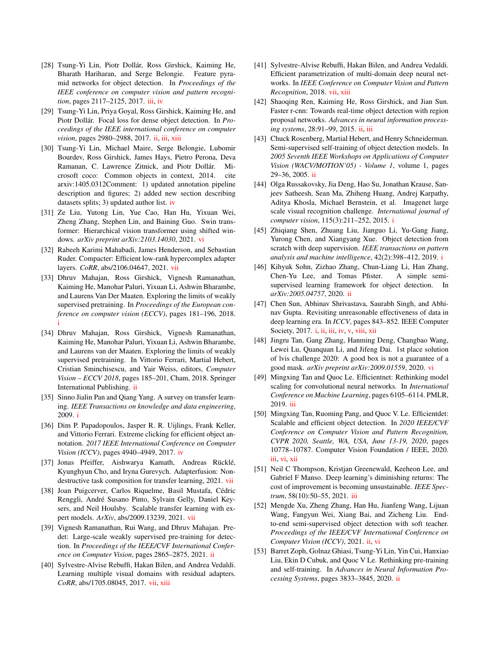- <span id="page-9-15"></span>[28] Tsung-Yi Lin, Piotr Dollár, Ross Girshick, Kaiming He, Bharath Hariharan, and Serge Belongie. Feature pyramid networks for object detection. In *Proceedings of the IEEE conference on computer vision and pattern recognition*, pages 2117–2125, 2017. [iii,](#page-2-1) [iv](#page-3-4)
- <span id="page-9-5"></span>[29] Tsung-Yi Lin, Priya Goyal, Ross Girshick, Kaiming He, and Piotr Dollár. Focal loss for dense object detection. In *Proceedings of the IEEE international conference on computer vision*, pages 2980–2988, 2017. [ii,](#page-1-2) [iii,](#page-2-1) [xiii](#page-12-3)
- <span id="page-9-17"></span>[30] Tsung-Yi Lin, Michael Maire, Serge Belongie, Lubomir Bourdev, Ross Girshick, James Hays, Pietro Perona, Deva Ramanan, C. Lawrence Zitnick, and Piotr Dollár. Microsoft coco: Common objects in context, 2014. cite arxiv:1405.0312Comment: 1) updated annotation pipeline description and figures; 2) added new section describing datasets splits; 3) updated author list. [iv](#page-3-4)
- <span id="page-9-19"></span>[31] Ze Liu, Yutong Lin, Yue Cao, Han Hu, Yixuan Wei, Zheng Zhang, Stephen Lin, and Baining Guo. Swin transformer: Hierarchical vision transformer using shifted windows. *arXiv preprint arXiv:2103.14030*, 2021. [vi](#page-5-3)
- <span id="page-9-23"></span>[32] Rabeeh Karimi Mahabadi, James Henderson, and Sebastian Ruder. Compacter: Efficient low-rank hypercomplex adapter layers. *CoRR*, abs/2106.04647, 2021. [vii](#page-6-2)
- <span id="page-9-2"></span>[33] Dhruv Mahajan, Ross Girshick, Vignesh Ramanathan, Kaiming He, Manohar Paluri, Yixuan Li, Ashwin Bharambe, and Laurens Van Der Maaten. Exploring the limits of weakly supervised pretraining. In *Proceedings of the European conference on computer vision (ECCV)*, pages 181–196, 2018. [i](#page-0-1)
- <span id="page-9-10"></span>[34] Dhruv Mahajan, Ross Girshick, Vignesh Ramanathan, Kaiming He, Manohar Paluri, Yixuan Li, Ashwin Bharambe, and Laurens van der Maaten. Exploring the limits of weakly supervised pretraining. In Vittorio Ferrari, Martial Hebert, Cristian Sminchisescu, and Yair Weiss, editors, *Computer Vision – ECCV 2018*, pages 185–201, Cham, 2018. Springer International Publishing. [ii](#page-1-2)
- <span id="page-9-0"></span>[35] Sinno Jialin Pan and Qiang Yang. A survey on transfer learning. *IEEE Transactions on knowledge and data engineering*, 2009. [i](#page-0-1)
- <span id="page-9-18"></span>[36] Dim P. Papadopoulos, Jasper R. R. Uijlings, Frank Keller, and Vittorio Ferrari. Extreme clicking for efficient object annotation. *2017 IEEE International Conference on Computer Vision (ICCV)*, pages 4940–4949, 2017. [iv](#page-3-4)
- <span id="page-9-24"></span>[37] Jonas Pfeiffer, Aishwarya Kamath, Andreas Rücklé, Kyunghyun Cho, and Iryna Gurevych. Adapterfusion: Nondestructive task composition for transfer learning, 2021. [vii](#page-6-2)
- <span id="page-9-25"></span>[38] Joan Puigcerver, Carlos Riquelme, Basil Mustafa, Cédric Renggli, Andre Susano Pinto, Sylvain Gelly, Daniel Key- ´ sers, and Neil Houlsby. Scalable transfer learning with expert models. *ArXiv*, abs/2009.13239, 2021. [vii](#page-6-2)
- <span id="page-9-11"></span>[39] Vignesh Ramanathan, Rui Wang, and Dhruv Mahajan. Predet: Large-scale weakly supervised pre-training for detection. In *Proceedings of the IEEE/CVF International Conference on Computer Vision*, pages 2865–2875, 2021. [ii](#page-1-2)
- <span id="page-9-21"></span>[40] Sylvestre-Alvise Rebuffi, Hakan Bilen, and Andrea Vedaldi. Learning multiple visual domains with residual adapters. *CoRR*, abs/1705.08045, 2017. [vii,](#page-6-2) [xiii](#page-12-3)
- <span id="page-9-22"></span>[41] Sylvestre-Alvise Rebuffi, Hakan Bilen, and Andrea Vedaldi. Efficient parametrization of multi-domain deep neural networks. In *IEEE Conference on Computer Vision and Pattern Recognition*, 2018. [vii,](#page-6-2) [xiii](#page-12-3)
- <span id="page-9-6"></span>[42] Shaoqing Ren, Kaiming He, Ross Girshick, and Jian Sun. Faster r-cnn: Towards real-time object detection with region proposal networks. *Advances in neural information processing systems*, 28:91–99, 2015. [ii,](#page-1-2) [iii](#page-2-1)
- <span id="page-9-7"></span>[43] Chuck Rosenberg, Martial Hebert, and Henry Schneiderman. Semi-supervised self-training of object detection models. In *2005 Seventh IEEE Workshops on Applications of Computer Vision (WACV/MOTION'05) - Volume 1*, volume 1, pages 29–36, 2005. [ii](#page-1-2)
- <span id="page-9-3"></span>[44] Olga Russakovsky, Jia Deng, Hao Su, Jonathan Krause, Sanjeev Satheesh, Sean Ma, Zhiheng Huang, Andrej Karpathy, Aditya Khosla, Michael Bernstein, et al. Imagenet large scale visual recognition challenge. *International journal of computer vision*, 115(3):211–252, 2015. [i](#page-0-1)
- <span id="page-9-4"></span>[45] Zhiqiang Shen, Zhuang Liu, Jianguo Li, Yu-Gang Jiang, Yurong Chen, and Xiangyang Xue. Object detection from scratch with deep supervision. *IEEE transactions on pattern analysis and machine intelligence*, 42(2):398–412, 2019. [i](#page-0-1)
- <span id="page-9-8"></span>[46] Kihyuk Sohn, Zizhao Zhang, Chun-Liang Li, Han Zhang, Chen-Yu Lee, and Tomas Pfister. A simple semisupervised learning framework for object detection. In *arXiv:2005.04757*, 2020. [ii](#page-1-2)
- <span id="page-9-1"></span>[47] Chen Sun, Abhinav Shrivastava, Saurabh Singh, and Abhinav Gupta. Revisiting unreasonable effectiveness of data in deep learning era. In *ICCV*, pages 843–852. IEEE Computer Society, 2017. [i,](#page-0-1) [ii,](#page-1-2) [iii,](#page-2-1) [iv,](#page-3-4) [v,](#page-4-2) [viii,](#page-7-3) [xii](#page-11-1)
- <span id="page-9-20"></span>[48] Jingru Tan, Gang Zhang, Hanming Deng, Changbao Wang, Lewei Lu, Quanquan Li, and Jifeng Dai. 1st place solution of lvis challenge 2020: A good box is not a guarantee of a good mask. *arXiv preprint arXiv:2009.01559*, 2020. [vi](#page-5-3)
- <span id="page-9-16"></span>[49] Mingxing Tan and Quoc Le. Efficientnet: Rethinking model scaling for convolutional neural networks. In *International Conference on Machine Learning*, pages 6105–6114. PMLR, 2019. [iii](#page-2-1)
- <span id="page-9-13"></span>[50] Mingxing Tan, Ruoming Pang, and Quoc V. Le. Efficientdet: Scalable and efficient object detection. In *2020 IEEE/CVF Conference on Computer Vision and Pattern Recognition, CVPR 2020, Seattle, WA, USA, June 13-19, 2020*, pages 10778–10787. Computer Vision Foundation / IEEE, 2020. [iii,](#page-2-1) [vi,](#page-5-3) [xii](#page-11-1)
- <span id="page-9-14"></span>[51] Neil C Thompson, Kristjan Greenewald, Keeheon Lee, and Gabriel F Manso. Deep learning's diminishing returns: The cost of improvement is becoming unsustainable. *IEEE Spectrum*, 58(10):50–55, 2021. [iii](#page-2-1)
- <span id="page-9-9"></span>[52] Mengde Xu, Zheng Zhang, Han Hu, Jianfeng Wang, Lijuan Wang, Fangyun Wei, Xiang Bai, and Zicheng Liu. Endto-end semi-supervised object detection with soft teacher. *Proceedings of the IEEE/CVF International Conference on Computer Vision (ICCV)*, 2021. [ii,](#page-1-2) [vi](#page-5-3)
- <span id="page-9-12"></span>[53] Barret Zoph, Golnaz Ghiasi, Tsung-Yi Lin, Yin Cui, Hanxiao Liu, Ekin D Cubuk, and Quoc V Le. Rethinking pre-training and self-training. In *Advances in Neural Information Processing Systems*, pages 3833–3845, 2020. [ii](#page-1-2)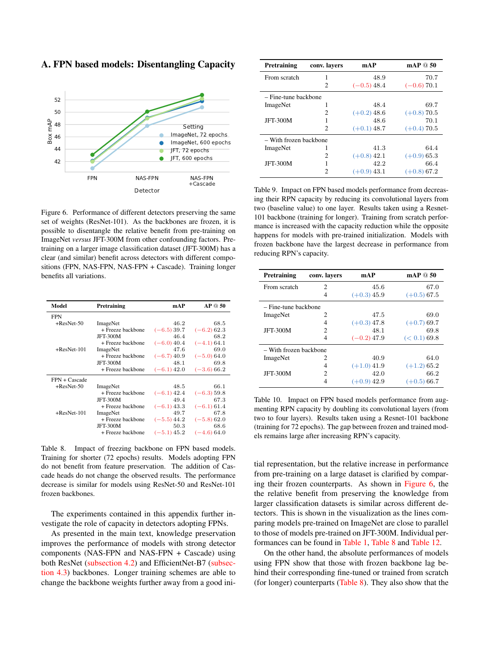<span id="page-10-1"></span>

<span id="page-10-0"></span>A. FPN based models: Disentangling Capacity

Figure 6. Performance of different detectors preserving the same set of weights (ResNet-101). As the backbones are frozen, it is possible to disentangle the relative benefit from pre-training on ImageNet *versus* JFT-300M from other confounding factors. Pretraining on a larger image classification dataset (JFT-300M) has a clear (and similar) benefit across detectors with different compositions (FPN, NAS-FPN, NAS-FPN + Cascade). Training longer benefits all variations.

<span id="page-10-2"></span>

| Model          | Pretraining       | mAP           | AP@50         |
|----------------|-------------------|---------------|---------------|
| <b>FPN</b>     |                   |               |               |
| $+ResNet-50$   | ImageNet          | 46.2          | 68.5          |
|                | + Freeze backbone | $(-6.5)39.7$  | $(-6.2)$ 62.3 |
|                | <b>JFT-300M</b>   | 46.4          | 68.2          |
|                | + Freeze backbone | $(-6.0)$ 40.4 | $(-4.1)$ 64.1 |
| $+$ ResNet-101 | ImageNet          | 47.6          | 69.0          |
|                | + Freeze backbone | $(-6.7)$ 40.9 | $(-5.0)64.0$  |
|                | <b>JFT-300M</b>   | 48.1          | 69.8          |
|                | + Freeze backbone | $(-6.1)$ 42.0 | $(-3.6)$ 66.2 |
| FPN + Cascade  |                   |               |               |
| $+ResNet-50$   | ImageNet          | 48.5          | 66.1          |
|                | + Freeze backbone | $(-6.1)$ 42.4 | $(-6.3)$ 59.8 |
|                | <b>JFT-300M</b>   | 49.4          | 67.3          |
|                | + Freeze backbone | $(-6.1)$ 43.3 | $(-6.1)$ 61.4 |
| $+$ ResNet-101 | ImageNet          | 49.7          | 67.8          |
|                | + Freeze backbone | $(-5.5)$ 44.2 | $(-5.8)$ 62.0 |
|                | <b>JFT-300M</b>   | 50.3          | 68.6          |
|                | + Freeze backbone | $(-5.1)$ 45.2 | $(-4.6)$ 64.0 |
|                |                   |               |               |

Table 8. Impact of freezing backbone on FPN based models. Training for shorter (72 epochs) results. Models adopting FPN do not benefit from feature preservation. The addition of Cascade heads do not change the observed results. The performance decrease is similar for models using ResNet-50 and ResNet-101 frozen backbones.

The experiments contained in this appendix further investigate the role of capacity in detectors adopting FPNs.

As presented in the main text, knowledge preservation improves the performance of models with strong detector components (NAS-FPN and NAS-FPN + Cascade) using both ResNet [\(subsection 4.2\)](#page-3-1) and EfficientNet-B7 [\(subsec](#page-5-0)[tion 4.3\)](#page-5-0) backbones. Longer training schemes are able to change the backbone weights further away from a good ini-

<span id="page-10-3"></span>

| Pretraining            | conv. layers                | mAP           | mAP@50        |  |
|------------------------|-----------------------------|---------------|---------------|--|
| From scratch           |                             | 48.9          | 70.7          |  |
|                        | $\mathcal{D}_{\mathcal{A}}$ | $(-0.5)$ 48.4 | $(-0.6)$ 70.1 |  |
| - Fine-tune backbone   |                             |               |               |  |
| ImageNet               |                             | 48.4          | 69.7          |  |
|                        | 2                           | $(+0.2)$ 48.6 | $(+0.8)$ 70.5 |  |
| <b>JFT-300M</b>        |                             | 48.6          | 70.1          |  |
|                        | $\mathcal{D}_{\mathcal{A}}$ | $(+0.1)$ 48.7 | $(+0.4)$ 70.5 |  |
| - With frozen backbone |                             |               |               |  |
| ImageNet               | 1                           | 41.3          | 64.4          |  |
|                        | っ                           | $(+0.8)$ 42.1 | $(+0.9)$ 65.3 |  |
| <b>JFT-300M</b>        |                             | 42.2          | 66.4          |  |
|                        | っ                           | $(+0.9)$ 43.1 | $(+0.8)$ 67.2 |  |

Table 9. Impact on FPN based models performance from decreasing their RPN capacity by reducing its convolutional layers from two (baseline value) to one layer. Results taken using a Resnet-101 backbone (training for longer). Training from scratch performance is increased with the capacity reduction while the opposite happens for models with pre-trained initialization. Models with frozen backbone have the largest decrease in performance from reducing RPN's capacity.

<span id="page-10-4"></span>

| Pretraining            | conv. layers | mAP           | mAP $@50$     |
|------------------------|--------------|---------------|---------------|
| From scratch           | 2            | 45.6          | 67.0          |
|                        | 4            | $(+0.3)$ 45.9 | $(+0.5)$ 67.5 |
| - Fine-tune backbone   |              |               |               |
| ImageNet               | 2            | 47.5          | 69.0          |
|                        | 4            | $(+0.3)$ 47.8 | $(+0.7)$ 69.7 |
| <b>JFT-300M</b>        | 2            | 48.1          | 69.8          |
|                        | 4            | $(-0.2)$ 47.9 | (< 0.1) 69.8  |
| - With frozen backbone |              |               |               |
| ImageNet               | 2            | 40.9          | 64.0          |
|                        | 4            | $(+1.0)$ 41.9 | $(+1.2)$ 65.2 |
| <b>JFT-300M</b>        | 2            | 42.0          | 66.2          |
|                        | 4            | $(+0.9)$ 42.9 | $(+0.5)$ 66.7 |

Table 10. Impact on FPN based models performance from augmenting RPN capacity by doubling its convolutional layers (from two to four layers). Results taken using a Resnet-101 backbone (training for 72 epochs). The gap between frozen and trained models remains large after increasing RPN's capacity.

tial representation, but the relative increase in performance from pre-training on a large dataset is clarified by comparing their frozen counterparts. As shown in [Figure 6,](#page-10-1) the the relative benefit from preserving the knowledge from larger classification datasets is similar across different detectors. This is shown in the visualization as the lines comparing models pre-trained on ImageNet are close to parallel to those of models pre-trained on JFT-300M. Individual performances can be found in [Table 1,](#page-3-3) [Table 8](#page-10-2) and [Table 12.](#page-11-0)

On the other hand, the absolute performances of models using FPN show that those with frozen backbone lag behind their corresponding fine-tuned or trained from scratch (for longer) counterparts [\(Table 8\)](#page-10-2). They also show that the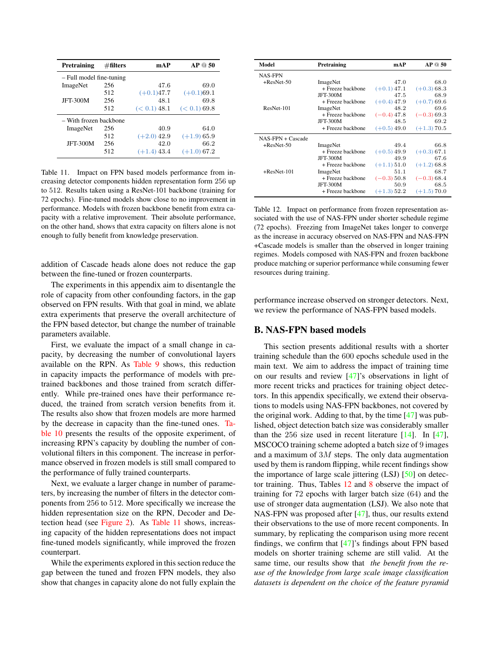<span id="page-11-2"></span><span id="page-11-1"></span>

| Pretraining              | $\#$ filters | mAP           | AP @ 50       |
|--------------------------|--------------|---------------|---------------|
| - Full model fine-tuning |              |               |               |
| ImageNet                 | 256          | 47.6          | 69.0          |
|                          | 512          | $(+0.1)47.7$  | $(+0.1)69.1$  |
| <b>JFT-300M</b>          | 256          | 48.1          | 69.8          |
|                          | 512          | (< 0.1) 48.1  | (< 0.1) 69.8  |
| - With frozen backbone   |              |               |               |
| ImageNet                 | 256          | 40.9          | 64.0          |
|                          | 512          | $(+2.0)$ 42.9 | $(+1.9)$ 65.9 |
| <b>JFT-300M</b>          | 256          | 42.0          | 66.2          |
|                          | 512          | $(+1.4)$ 43.4 | $(+1.0)$ 67.2 |

Table 11. Impact on FPN based models performance from increasing detector components hidden representation form 256 up to 512. Results taken using a ResNet-101 backbone (training for 72 epochs). Fine-tuned models show close to no improvement in performance. Models with frozen backbone benefit from extra capacity with a relative improvement. Their absolute performance, on the other hand, shows that extra capacity on filters alone is not enough to fully benefit from knowledge preservation.

addition of Cascade heads alone does not reduce the gap between the fine-tuned or frozen counterparts.

The experiments in this appendix aim to disentangle the role of capacity from other confounding factors, in the gap observed on FPN results. With that goal in mind, we ablate extra experiments that preserve the overall architecture of the FPN based detector, but change the number of trainable parameters available.

First, we evaluate the impact of a small change in capacity, by decreasing the number of convolutional layers available on the RPN. As [Table 9](#page-10-3) shows, this reduction in capacity impacts the performance of models with pretrained backbones and those trained from scratch differently. While pre-trained ones have their performance reduced, the trained from scratch version benefits from it. The results also show that frozen models are more harmed by the decrease in capacity than the fine-tuned ones. [Ta](#page-10-4)[ble 10](#page-10-4) presents the results of the opposite experiment, of increasing RPN's capacity by doubling the number of convolutional filters in this component. The increase in performance observed in frozen models is still small compared to the performance of fully trained counterparts.

Next, we evaluate a larger change in number of parameters, by increasing the number of filters in the detector components from 256 to 512. More specifically we increase the hidden representation size on the RPN, Decoder and Detection head (see [Figure 2\)](#page-1-0). As [Table 11](#page-11-2) shows, increasing capacity of the hidden representations does not impact fine-tuned models significantly, while improved the frozen counterpart.

While the experiments explored in this section reduce the gap between the tuned and frozen FPN models, they also show that changes in capacity alone do not fully explain the

<span id="page-11-0"></span>

| Model             | Pretraining       | mAP           | AP @ 50       |
|-------------------|-------------------|---------------|---------------|
| <b>NAS-FPN</b>    |                   |               |               |
| $+$ ResNet-50     | ImageNet          | 47.0          | 68.0          |
|                   | + Freeze backbone | $(+0.1)$ 47.1 | $(+0.3)$ 68.3 |
|                   | <b>JFT-300M</b>   | 47.5          | 68.9          |
|                   | + Freeze backbone | $(+0.4)$ 47.9 | $(+0.7)$ 69.6 |
| ResNet-101        | ImageNet          | 48.2          | 69.6          |
|                   | + Freeze backbone | $(-0.4)$ 47.8 | $(-0.3)$ 69.3 |
|                   | <b>JFT-300M</b>   | 48.5          | 69.2          |
|                   | + Freeze backbone | $(+0.5)$ 49.0 | $(+1.3)$ 70.5 |
| NAS-FPN + Cascade |                   |               |               |
| $+$ ResNet-50     | ImageNet          | 49.4          | 66.8          |
|                   | + Freeze backbone | $(+0.5)$ 49.9 | $(+0.3)$ 67.1 |
|                   | <b>JFT-300M</b>   | 49.9          | 67.6          |
|                   | + Freeze backbone | $(+1.1)$ 51.0 | $(+1.2)$ 68.8 |
| $+$ ResNet-101    | ImageNet          | 51.1          | 68.7          |
|                   | + Freeze backbone | $(-0.3)$ 50.8 | $(-0.3)$ 68.4 |
|                   | <b>JFT-300M</b>   | 50.9          | 68.5          |
|                   | + Freeze backbone | $(+1.3)$ 52.2 | $(+1.5)$ 70.0 |

Table 12. Impact on performance from frozen representation associated with the use of NAS-FPN under shorter schedule regime (72 epochs). Freezing from ImageNet takes longer to converge as the increase in accuracy observed on NAS-FPN and NAS-FPN +Cascade models is smaller than the observed in longer training regimes. Models composed with NAS-FPN and frozen backbone produce matching or superior performance while consuming fewer resources during training.

performance increase observed on stronger detectors. Next, we review the performance of NAS-FPN based models.

# B. NAS-FPN based models

This section presents additional results with a shorter training schedule than the 600 epochs schedule used in the main text. We aim to address the impact of training time on our results and review [\[47\]](#page-9-1)'s observations in light of more recent tricks and practices for training object detectors. In this appendix specifically, we extend their observations to models using NAS-FPN backbones, not covered by the original work. Adding to that, by the time  $[47]$  was published, object detection batch size was considerably smaller than the 256 size used in recent literature  $[14]$ . In  $[47]$ , MSCOCO training scheme adopted a batch size of 9 images and a maximum of  $3M$  steps. The only data augmentation used by them is random flipping, while recent findings show the importance of large scale jittering (LSJ) [\[50\]](#page-9-13) on detector training. Thus, Tables [12](#page-11-0) and [8](#page-10-2) observe the impact of training for 72 epochs with larger batch size (64) and the use of stronger data augmentation (LSJ). We also note that NAS-FPN was proposed after [\[47\]](#page-9-1), thus, our results extend their observations to the use of more recent components. In summary, by replicating the comparison using more recent findings, we confirm that [\[47\]](#page-9-1)'s findings about FPN based models on shorter training scheme are still valid. At the same time, our results show that *the benefit from the reuse of the knowledge from large scale image classification datasets is dependent on the choice of the feature pyramid*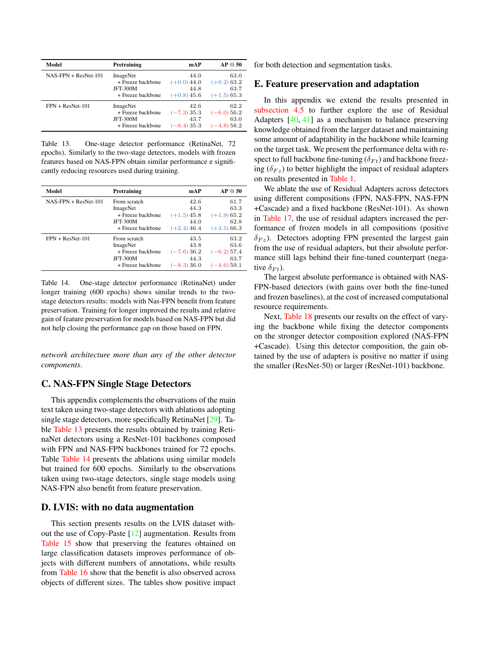<span id="page-12-4"></span><span id="page-12-3"></span>

| Model                  | Pretraining       | mAP           | AP @ 50       |
|------------------------|-------------------|---------------|---------------|
| $NAS-FPN + ResNet-101$ | ImageNet          | 44.0          | 63.0          |
|                        | + Freeze backbone | $(+0.0)$ 44.0 | $(+0.2)$ 63.2 |
|                        | <b>JFT-300M</b>   | 44.8          | 63.7          |
|                        | + Freeze backbone | $(+0.8)$ 45.6 | $(+1.5)$ 65.3 |
| $FPN + ResNet-101$     | ImageNet          | 42.6          | 62.2          |
|                        | + Freeze backbone | $(-7.3)35.3$  | $(-6.0)$ 56.2 |
|                        | <b>JFT-300M</b>   | 43.7          | 63.0          |
|                        | + Freeze backbone | $(-8.4)35.3$  | $(-4.8)58.2$  |

Table 13. One-stage detector performance (RetinaNet, 72 epochs). Similarly to the two-stage detectors, models with frozen features based on NAS-FPN obtain similar performance e significantly reducing resources used during training.

<span id="page-12-5"></span>

| Model                  | Pretraining       | mAP           | AP@50         |
|------------------------|-------------------|---------------|---------------|
| $NAS-FPN + ResNet-101$ | From scratch      | 42.6          | 61.7          |
|                        | ImageNet          | 44.3          | 63.3          |
|                        | + Freeze backbone | $(+1.5)$ 45.8 | $(+1.9)$ 65.2 |
|                        | <b>JFT-300M</b>   | 44.0          | 62.8          |
|                        | + Freeze backbone | $(+2.4)$ 46.4 | $(+3.5)66.3$  |
| $FPN + ResNet-101$     | From scratch      | 43.5          | 63.2          |
|                        | ImageNet          | 43.8          | 63.6          |
|                        | + Freeze backbone | $(-7.6)36.2$  | $(-6.2)$ 57.4 |
|                        | <b>JFT-300M</b>   | 44.3          | 63.7          |
|                        | + Freeze backbone | $(-8.3)36.0$  | $(-4.6)$ 59.1 |

Table 14. One-stage detector performance (RetinaNet) under longer training (600 epochs) shows similar trends to the twostage detectors results: models with Nas-FPN benefit from feature preservation. Training for longer improved the results and relative gain of feature preservation for models based on NAS-FPN but did not help closing the performance gap on those based on FPN.

*network architecture more than any of the other detector components*.

### <span id="page-12-0"></span>C. NAS-FPN Single Stage Detectors

This appendix complements the observations of the main text taken using two-stage detectors with ablations adopting single stage detectors, more specifically RetinaNet [\[29\]](#page-9-5). Table [Table 13](#page-12-4) presents the results obtained by training RetinaNet detectors using a ResNet-101 backbones composed with FPN and NAS-FPN backbones trained for 72 epochs. Table [Table 14](#page-12-5) presents the ablations using similar models but trained for 600 epochs. Similarly to the observations taken using two-stage detectors, single stage models using NAS-FPN also benefit from feature preservation.

# <span id="page-12-1"></span>D. LVIS: with no data augmentation

This section presents results on the LVIS dataset without the use of Copy-Paste [\[12\]](#page-8-14) augmentation. Results from [Table 15](#page-13-1) show that preserving the features obtained on large classification datasets improves performance of objects with different numbers of annotations, while results from [Table 16](#page-13-2) show that the benefit is also observed across objects of different sizes. The tables show positive impact for both detection and segmentation tasks.

### <span id="page-12-2"></span>E. Feature preservation and adaptation

In this appendix we extend the results presented in [subsection 4.5](#page-6-3) to further explore the use of Residual Adapters [\[40,](#page-9-21) [41\]](#page-9-22) as a mechanism to balance preserving knowledge obtained from the larger dataset and maintaining some amount of adaptability in the backbone while learning on the target task. We present the performance delta with respect to full backbone fine-tuning ( $\delta_{Ft}$ ) and backbone freezing ( $\delta_{Fz}$ ) to better highlight the impact of residual adapters on results presented in [Table 1.](#page-3-3)

We ablate the use of Residual Adapters across detectors using different compositions (FPN, NAS-FPN, NAS-FPN +Cascade) and a fixed backbone (ResNet-101). As shown in [Table 17,](#page-13-3) the use of residual adapters increased the performance of frozen models in all compositions (positive  $\delta_{Fz}$ ). Detectors adopting FPN presented the largest gain from the use of residual adapters, but their absolute performance still lags behind their fine-tuned counterpart (negative  $\delta_{Ft}$ ).

The largest absolute performance is obtained with NAS-FPN-based detectors (with gains over both the fine-tuned and frozen baselines), at the cost of increased computational resource requirements.

Next, [Table 18](#page-14-0) presents our results on the effect of varying the backbone while fixing the detector components on the stronger detector composition explored (NAS-FPN +Cascade). Using this detector composition, the gain obtained by the use of adapters is positive no matter if using the smaller (ResNet-50) or larger (ResNet-101) backbone.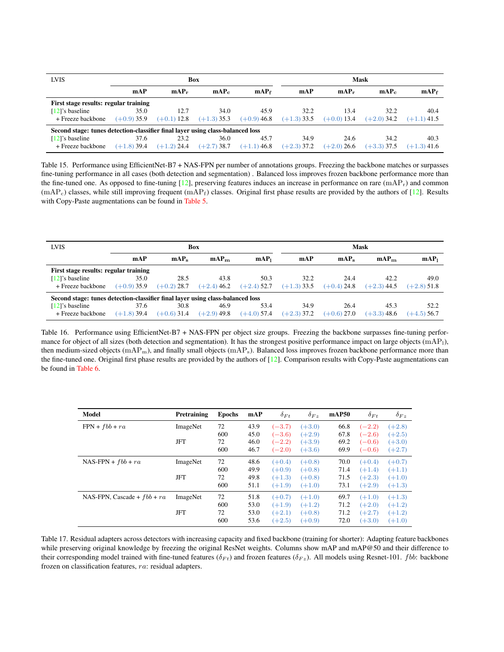<span id="page-13-1"></span><span id="page-13-0"></span>

| <b>LVIS</b><br>Box                                                             |               |               |               |                  |               |               | Mask          |                  |
|--------------------------------------------------------------------------------|---------------|---------------|---------------|------------------|---------------|---------------|---------------|------------------|
|                                                                                | mAP           | $mAP_r$       | $mAP_c$       | mAP <sub>f</sub> | mAP           | $mAP_r$       | $mAP_c$       | mAP <sub>f</sub> |
| First stage results: regular training                                          |               |               |               |                  |               |               |               |                  |
| $[12]$ 's baseline                                                             | 35.0          | 12.7          | 34.0          | 45.9             | 32.2          | 13.4          | 32.2          | 40.4             |
| + Freeze backbone                                                              | $(+0.9)$ 35.9 | $(+0.1)$ 12.8 | $(+1.3)$ 35.3 | $(+0.9)$ 46.8    | $(+1.3)$ 33.5 | $(+0.0)$ 13.4 | $(+2.0)$ 34.2 | $(+1.1)$ 41.5    |
| Second stage: tunes detection-classifier final layer using class-balanced loss |               |               |               |                  |               |               |               |                  |
| $[12]$ 's baseline                                                             | 37.6          | 23.2          | 36.0          | 45.7             | 34.9          | 24.6          | 34.2          | 40.3             |
| + Freeze backbone                                                              | $(+1.8)$ 39.4 | $(+1.2)$ 24.4 | $(+2.7)$ 38.7 | $(+1.1)$ 46.8    | $(+2.3)$ 37.2 | $(+2.0)$ 26.6 | $(+3.3)$ 37.5 | $(+1.3)$ 41.6    |

Table 15. Performance using EfficientNet-B7 + NAS-FPN per number of annotations groups. Freezing the backbone matches or surpasses fine-tuning performance in all cases (both detection and segmentation) . Balanced loss improves frozen backbone performance more than the fine-tuned one. As opposed to fine-tuning  $[12]$ , preserving features induces an increase in performance on rare  $(mAP_r)$  and common  $(mAP_c)$  classes, while still improving frequent  $(mAP_f)$  classes. Original first phase results are provided by the authors of [\[12\]](#page-8-14). Results with Copy-Paste augmentations can be found in [Table 5.](#page-6-0)

<span id="page-13-2"></span>

| <b>LVIS</b>                                                                    |               |                  | Box              |                  | Mask          |                  |                  |                  |
|--------------------------------------------------------------------------------|---------------|------------------|------------------|------------------|---------------|------------------|------------------|------------------|
|                                                                                | mAP           | mAP <sub>z</sub> | mAP <sub>m</sub> | mAP <sub>1</sub> | mAP           | mAP <sub>s</sub> | mAP <sub>m</sub> | mAP <sub>1</sub> |
| First stage results: regular training                                          |               |                  |                  |                  |               |                  |                  |                  |
| $[12]$ 's baseline                                                             | 35.0          | 28.5             | 43.8             | 50.3             | 32.2          | 24.4             | 42.2             | 49.0             |
| + Freeze backbone                                                              | $(+0.9)$ 35.9 | $(+0.2)$ 28.7    | $(+2.4)$ 46.2    | $(+2.4)$ 52.7    | $(+1.3)$ 33.5 | $(+0.4)$ 24.8    | $(+2.3)$ 44.5    | $(+2.8)$ 51.8    |
| Second stage: tunes detection-classifier final layer using class-balanced loss |               |                  |                  |                  |               |                  |                  |                  |
| $[12]$ 's baseline                                                             | 37.6          | 30.8             | 46.9             | 53.4             | 34.9          | 26.4             | 45.3             | 52.2             |
| + Freeze backbone                                                              | $(+1.8)$ 39.4 | $(+0.6)$ 31.4    | $(+2.9)$ 49.8    | $(+4.0)$ 57.4    | $(+2.3)$ 37.2 | $(+0.6)$ 27.0    | $(+3.3)$ 48.6    | $(+4.5)$ 56.7    |

Table 16. Performance using EfficientNet-B7 + NAS-FPN per object size groups. Freezing the backbone surpasses fine-tuning performance for object of all sizes (both detection and segmentation). It has the strongest positive performance impact on large objects (mAP<sub>1</sub>), then medium-sized objects (mAP<sub>m</sub>), and finally small objects (mAP<sub>s</sub>). Balanced loss improves frozen backbone performance more than the fine-tuned one. Original first phase results are provided by the authors of  $[12]$ . Comparison results with Copy-Paste augmentations can be found in [Table 6.](#page-6-1)

<span id="page-13-3"></span>

| Model                         | Pretraining | <b>Epochs</b> | mAP  | $\delta_{Ft}$ | $\delta_{Fz}$ | mAP50 | $\delta_{Ft}$ | $\delta_{Fz}$ |
|-------------------------------|-------------|---------------|------|---------------|---------------|-------|---------------|---------------|
| $FPN + fbb + ra$              | ImageNet    | 72            | 43.9 | $(-3.7)$      | $(+3.0)$      | 66.8  | $(-2.2)$      | $(+2.8)$      |
|                               |             | 600           | 45.0 | $(-3.6)$      | $(+2.9)$      | 67.8  | $(-2.6)$      | $(+2.5)$      |
|                               | JFT         | 72            | 46.0 | $(-2.2)$      | $(+3.9)$      | 69.2  | $(-0.6)$      | $(+3.0)$      |
|                               |             | 600           | 46.7 | $(-2.0)$      | $(+3.6)$      | 69.9  | $(-0.6)$      | $(+2.7)$      |
| $NAS-FPN + fbb + ra$          | ImageNet    | 72            | 48.6 | $(+0.4)$      | $(+0.8)$      | 70.0  | $(+0.4)$      | $(+0.7)$      |
|                               |             | 600           | 49.9 | $(+0.9)$      | $(+0.8)$      | 71.4  | $(+1.4)$      | $(+1.1)$      |
|                               | <b>JFT</b>  | 72            | 49.8 | $(+1.3)$      | $(+0.8)$      | 71.5  | $(+2.3)$      | $(+1.0)$      |
|                               |             | 600           | 51.1 | $(+1.9)$      | $(+1.0)$      | 73.1  | $(+2.9)$      | $(+1.3)$      |
| NAS-FPN, Cascade + $fbb + ra$ | ImageNet    | 72            | 51.8 | $(+0.7)$      | $(+1.0)$      | 69.7  | $(+1.0)$      | $(+1.3)$      |
|                               |             | 600           | 53.0 | $(+1.9)$      | $(+1.2)$      | 71.2  | $(+2.0)$      | $(+1.2)$      |
|                               | <b>JFT</b>  | 72            | 53.0 | $(+2.1)$      | $(+0.8)$      | 71.2  | $(+2.7)$      | $(+1.2)$      |
|                               |             | 600           | 53.6 | $(+2.5)$      | $(+0.9)$      | 72.0  | $(+3.0)$      | $(+1.0)$      |

Table 17. Residual adapters across detectors with increasing capacity and fixed backbone (training for shorter): Adapting feature backbones while preserving original knowledge by freezing the original ResNet weights. Columns show mAP and mAP@50 and their difference to their corresponding model trained with fine-tuned features ( $\delta_{Ft}$ ) and frozen features ( $\delta_{Fz}$ ). All models using Resnet-101. *fbb*: backbone frozen on classification features, ra: residual adapters.